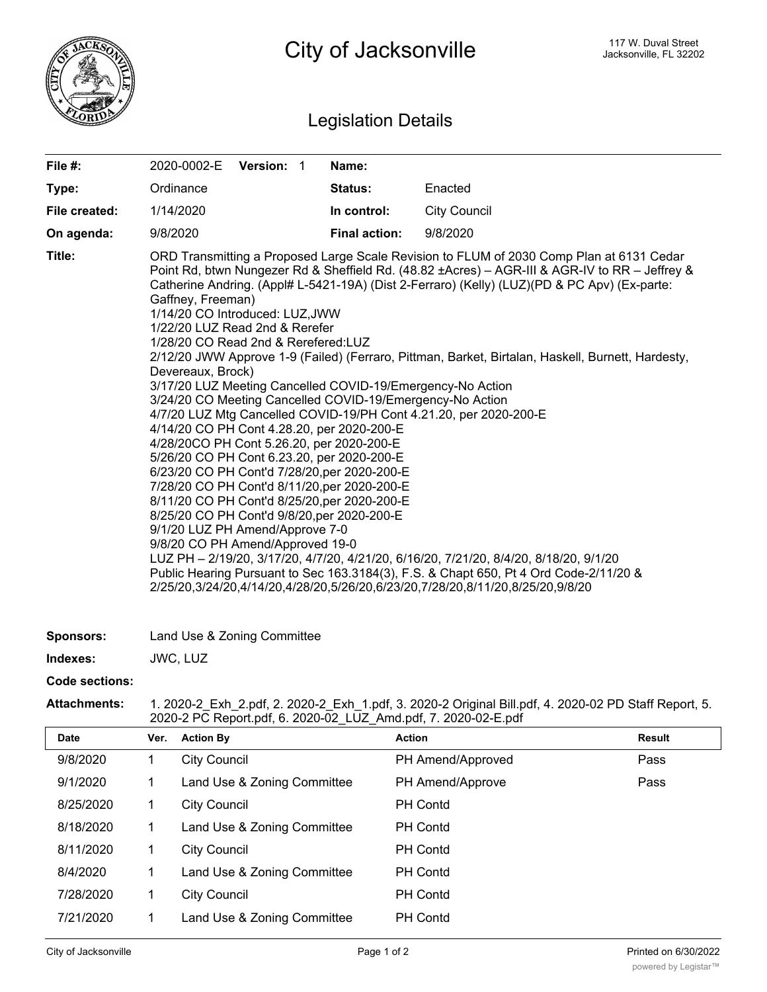

## Legislation Details

| File #:        | 2020-0002-E Version: 1                                                                                                                                                                                                                                                                                                                                                                                                                                                                                                                                                                                                                                                                                                                                                                                                                                                                                                                                                                                                                                                                                                                                                                                                                                                                                                                                                                                                                    |  |  | Name:                |                     |  |  |  |
|----------------|-------------------------------------------------------------------------------------------------------------------------------------------------------------------------------------------------------------------------------------------------------------------------------------------------------------------------------------------------------------------------------------------------------------------------------------------------------------------------------------------------------------------------------------------------------------------------------------------------------------------------------------------------------------------------------------------------------------------------------------------------------------------------------------------------------------------------------------------------------------------------------------------------------------------------------------------------------------------------------------------------------------------------------------------------------------------------------------------------------------------------------------------------------------------------------------------------------------------------------------------------------------------------------------------------------------------------------------------------------------------------------------------------------------------------------------------|--|--|----------------------|---------------------|--|--|--|
| Type:          | Ordinance                                                                                                                                                                                                                                                                                                                                                                                                                                                                                                                                                                                                                                                                                                                                                                                                                                                                                                                                                                                                                                                                                                                                                                                                                                                                                                                                                                                                                                 |  |  | <b>Status:</b>       | Enacted             |  |  |  |
| File created:  | 1/14/2020                                                                                                                                                                                                                                                                                                                                                                                                                                                                                                                                                                                                                                                                                                                                                                                                                                                                                                                                                                                                                                                                                                                                                                                                                                                                                                                                                                                                                                 |  |  | In control:          | <b>City Council</b> |  |  |  |
| On agenda:     | 9/8/2020                                                                                                                                                                                                                                                                                                                                                                                                                                                                                                                                                                                                                                                                                                                                                                                                                                                                                                                                                                                                                                                                                                                                                                                                                                                                                                                                                                                                                                  |  |  | <b>Final action:</b> | 9/8/2020            |  |  |  |
| Title:         | ORD Transmitting a Proposed Large Scale Revision to FLUM of 2030 Comp Plan at 6131 Cedar<br>Point Rd, btwn Nungezer Rd & Sheffield Rd. (48.82 ± Acres) – AGR-III & AGR-IV to RR – Jeffrey &<br>Catherine Andring. (Appl# L-5421-19A) (Dist 2-Ferraro) (Kelly) (LUZ)(PD & PC Apv) (Ex-parte:<br>Gaffney, Freeman)<br>1/14/20 CO Introduced: LUZ, JWW<br>1/22/20 LUZ Read 2nd & Rerefer<br>1/28/20 CO Read 2nd & Rerefered:LUZ<br>2/12/20 JWW Approve 1-9 (Failed) (Ferraro, Pittman, Barket, Birtalan, Haskell, Burnett, Hardesty,<br>Devereaux, Brock)<br>3/17/20 LUZ Meeting Cancelled COVID-19/Emergency-No Action<br>3/24/20 CO Meeting Cancelled COVID-19/Emergency-No Action<br>4/7/20 LUZ Mtg Cancelled COVID-19/PH Cont 4.21.20, per 2020-200-E<br>4/14/20 CO PH Cont 4.28.20, per 2020-200-E<br>4/28/20CO PH Cont 5.26.20, per 2020-200-E<br>5/26/20 CO PH Cont 6.23.20, per 2020-200-E<br>6/23/20 CO PH Cont'd 7/28/20, per 2020-200-E<br>7/28/20 CO PH Cont'd 8/11/20, per 2020-200-E<br>8/11/20 CO PH Cont'd 8/25/20, per 2020-200-E<br>8/25/20 CO PH Cont'd 9/8/20, per 2020-200-E<br>9/1/20 LUZ PH Amend/Approve 7-0<br>9/8/20 CO PH Amend/Approved 19-0<br>LUZ PH - 2/19/20, 3/17/20, 4/7/20, 4/21/20, 6/16/20, 7/21/20, 8/4/20, 8/18/20, 9/1/20<br>Public Hearing Pursuant to Sec 163.3184(3), F.S. & Chapt 650, Pt 4 Ord Code-2/11/20 &<br>2/25/20,3/24/20,4/14/20,4/28/20,5/26/20,6/23/20,7/28/20,8/11/20,8/25/20,9/8/20 |  |  |                      |                     |  |  |  |
| Sponsors:      | Land Use & Zoning Committee                                                                                                                                                                                                                                                                                                                                                                                                                                                                                                                                                                                                                                                                                                                                                                                                                                                                                                                                                                                                                                                                                                                                                                                                                                                                                                                                                                                                               |  |  |                      |                     |  |  |  |
| Indexes:       | JWC, LUZ                                                                                                                                                                                                                                                                                                                                                                                                                                                                                                                                                                                                                                                                                                                                                                                                                                                                                                                                                                                                                                                                                                                                                                                                                                                                                                                                                                                                                                  |  |  |                      |                     |  |  |  |
| Code sections: |                                                                                                                                                                                                                                                                                                                                                                                                                                                                                                                                                                                                                                                                                                                                                                                                                                                                                                                                                                                                                                                                                                                                                                                                                                                                                                                                                                                                                                           |  |  |                      |                     |  |  |  |

**Attachments:** 1. 2020-2\_Exh\_2.pdf, 2. 2020-2\_Exh\_1.pdf, 3. 2020-2 Original Bill.pdf, 4. 2020-02 PD Staff Report, 5. 2020-2 PC Report.pdf, 6. 2020-02\_LUZ\_Amd.pdf, 7. 2020-02-E.pdf

| Date      | Ver. | <b>Action By</b>            | <b>Action</b>     | <b>Result</b> |
|-----------|------|-----------------------------|-------------------|---------------|
| 9/8/2020  |      | <b>City Council</b>         | PH Amend/Approved | Pass          |
| 9/1/2020  |      | Land Use & Zoning Committee | PH Amend/Approve  | Pass          |
| 8/25/2020 |      | <b>City Council</b>         | <b>PH</b> Contd   |               |
| 8/18/2020 |      | Land Use & Zoning Committee | <b>PH</b> Contd   |               |
| 8/11/2020 |      | <b>City Council</b>         | <b>PH Contd</b>   |               |
| 8/4/2020  |      | Land Use & Zoning Committee | <b>PH</b> Contd   |               |
| 7/28/2020 |      | <b>City Council</b>         | <b>PH Contd</b>   |               |
| 7/21/2020 |      | Land Use & Zoning Committee | <b>PH Contd</b>   |               |